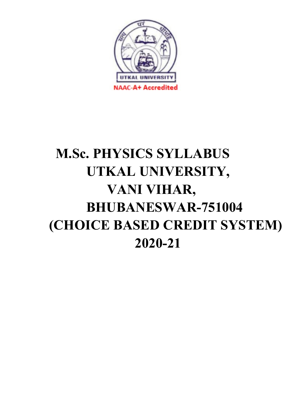

# M.Sc. PHYSICS SYLLABUS UTKAL UNIVERSITY, VANI VIHAR, BHUBANESWAR-751004 (CHOICE BASED CREDIT SYSTEM) 2020-21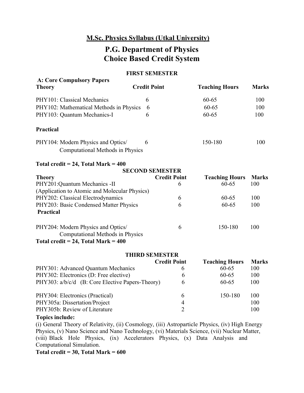# M.Sc. Physics Syllabus (Utkal University)

# P.G. Department of Physics Choice Based Credit System

#### FIRST SEMESTER

| <b>A: Core Compulsory Papers</b>                                              |                        |                          |                                    |                     |
|-------------------------------------------------------------------------------|------------------------|--------------------------|------------------------------------|---------------------|
| <b>Theory</b>                                                                 | <b>Credit Point</b>    |                          | <b>Teaching Hours</b>              | <b>Marks</b>        |
| PHY101: Classical Mechanics                                                   | 6                      |                          | 60-65                              | 100                 |
| PHY102: Mathematical Methods in Physics                                       | 6                      |                          | 60-65                              | 100                 |
| PHY103: Quantum Mechanics-I                                                   | 6                      |                          | $60 - 65$                          | 100                 |
| <b>Practical</b>                                                              |                        |                          |                                    |                     |
| PHY104: Modern Physics and Optics/<br>Computational Methods in Physics        | 6                      |                          | 150-180                            | 100                 |
| Total credit = $24$ , Total Mark = $400$                                      |                        |                          |                                    |                     |
|                                                                               | <b>SECOND SEMESTER</b> |                          |                                    |                     |
| <b>Theory</b><br>PHY201:Quantum Mechanics -II                                 |                        | <b>Credit Point</b><br>6 | <b>Teaching Hours</b><br>$60 - 65$ | <b>Marks</b><br>100 |
| (Application to Atomic and Molecular Physics)                                 |                        |                          |                                    |                     |
| PHY202: Classical Electrodynamics                                             |                        | 6                        | $60 - 65$                          | 100                 |
| PHY203: Basic Condensed Matter Physics                                        |                        | 6                        | 60-65                              | 100                 |
| <b>Practical</b>                                                              |                        |                          |                                    |                     |
| PHY204: Modern Physics and Optics/<br><b>Computational Methods in Physics</b> |                        | 6                        | 150-180                            | 100                 |
| Total credit = $24$ , Total Mark = $400$                                      |                        |                          |                                    |                     |
|                                                                               | <b>THIRD SEMESTER</b>  |                          |                                    |                     |
|                                                                               |                        | <b>Credit Point</b>      | <b>Teaching Hours</b>              | <b>Marks</b>        |
| PHY301: Advanced Quantum Mechanics                                            |                        | 6                        | 60-65                              | 100                 |
| PHY302: Electronics (D: Free elective)                                        |                        | 6                        | 60-65                              | 100                 |
| PHY303: a/b/c/d (B: Core Elective Papers-Theory)                              |                        | 6                        | 60-65                              | 100                 |
| PHY304: Electronics (Practical)                                               |                        | 6                        | 150-180                            | 100                 |
| PHY305a: Dissertation/Project                                                 |                        | $\overline{4}$           |                                    | 100                 |

PHY305b: Review of Literature

Topics include:

(i) General Theory of Relativity, (ii) Cosmology, (iii) Astroparticle Physics, (iv) High Energy Physics, (v) Nano Science and Nano Technology, (vi) Materials Science, (vii) Nuclear Matter, (viii) Black Hole Physics, (ix) Accelerators Physics, (x) Data Analysis and Computational Simulation.

2

100

Total credit =  $30$ , Total Mark =  $600$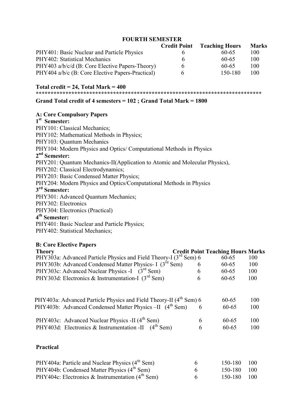#### FOURTH SEMESTER

|                                                  | <b>Credit Point</b> | <b>Teaching Hours</b> | <b>Marks</b> |
|--------------------------------------------------|---------------------|-----------------------|--------------|
| PHY401: Basic Nuclear and Particle Physics       | h.                  | 60-65                 | 100          |
| PHY402: Statistical Mechanics                    | h.                  | 60-65                 | 100          |
| PHY403 a/b/c/d (B: Core Elective Papers-Theory)  | 6                   | 60-65                 | 100          |
| PHY404 a/b/c (B: Core Elective Papers-Practical) | 6                   | 150-180               | 100.         |

#### Total credit  $= 24$ , Total Mark  $= 400$

\*\*\*\*\*\*\*\*\*\*\*\*\*\*\*\*\*\*\*\*\*\*\*\*\*\*\*\*\*\*\*\*\*\*\*\*\*\*\*\*\*\*\*\*\*\*\*\*\*\*\*\*\*\*\*\*\*\*\*\*\*\*\*\*\*\*\*\*\*\*\*\*\*\*\*\*

#### Grand Total credit of 4 semesters = 102 ; Grand Total Mark = 1800

#### A: Core Compulsory Papers

#### 1<sup>st</sup> Semester:

PHY101: Classical Mechanics; PHY102: Mathematical Methods in Physics; PHY103: Quantum Mechanics PHY104: Modern Physics and Optics/ Computational Methods in Physics 2<sup>nd</sup> Semester: PHY201: Quantum Mechanics-II(Application to Atomic and Molecular Physics), PHY202: Classical Electrodynamics; PHY203: Basic Condensed Matter Physics; PHY204: Modern Physics and Optics/Computational Methods in Physics 3<sup>rd</sup> Semester: PHY301: Advanced Quantum Mechanics; PHY302: Electronics PHY304: Electronics (Practical) 4<sup>th</sup> Semester: PHY401: Basic Nuclear and Particle Physics; PHY402: Statistical Mechanics;

#### B: Core Elective Papers

| <b>Theory</b>                                                                  |   | <b>Credit Point Teaching Hours Marks</b> |     |
|--------------------------------------------------------------------------------|---|------------------------------------------|-----|
| PHY303a: Advanced Particle Physics and Field Theory-I (3 <sup>rd</sup> Sem) 6  |   | $60 - 65$                                | 100 |
| PHY303b: Advanced Condensed Matter Physics- I (3 <sup>rd</sup> Sem)            | 6 | $60 - 65$                                | 100 |
| PHY303c: Advanced Nuclear Physics -I $(3^{rd}$ Sem)                            | 6 | $60 - 65$                                | 100 |
| PHY303d: Electronics & Instrumentation-I $(3rd$ Sem)                           | 6 | $60 - 65$                                | 100 |
|                                                                                |   |                                          |     |
| PHY403a: Advanced Particle Physics and Field Theory-II (4 <sup>th</sup> Sem) 6 |   | $60 - 65$                                | 100 |
| PHY403b: Advanced Condensed Matter Physics -II (4 <sup>th</sup> Sem)           | 6 | $60 - 65$                                | 100 |
| PHY403c: Advanced Nuclear Physics -II (4 <sup>th</sup> Sem)                    | 6 | $60 - 65$                                | 100 |
| PHY403d: Electronics & Instrumentation -II (4 <sup>th</sup> Sem)               | 6 | $60 - 65$                                | 100 |
| <b>Practical</b>                                                               |   |                                          |     |

| PHY404a: Particle and Nuclear Physics (4 <sup>th</sup> Sem) |              | 150-180 100 |  |
|-------------------------------------------------------------|--------------|-------------|--|
| PHY404b: Condensed Matter Physics (4 <sup>th</sup> Sem)     |              | 150-180 100 |  |
| PHY404c: Electronics & Instrumentation $(4th$ Sem)          | $\mathsf{f}$ | 150-180 100 |  |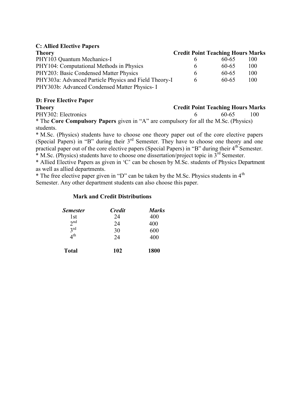#### C: Allied Elective Papers

| <b>Theory</b>                                         |              | <b>Credit Point Teaching Hours Marks</b> |     |
|-------------------------------------------------------|--------------|------------------------------------------|-----|
| PHY103 Quantum Mechanics-I                            |              | 60-65                                    | 100 |
| PHY104: Computational Methods in Physics              | <sub>t</sub> | 60-65                                    | 100 |
| PHY203: Basic Condensed Matter Physics                | 6            | 60-65                                    | 100 |
| PHY303a: Advanced Particle Physics and Field Theory-I | 6            | 60-65                                    | 100 |
| PHY303b: Advanced Condensed Matter Physics- I         |              |                                          |     |

#### D: Free Elective Paper

#### Theory Credit Point Teaching Hours Marks

PHY302: Electronics 6 60-65 100

\* The Core Compulsory Papers given in "A" are compulsory for all the M.Sc. (Physics) students.

\* M.Sc. (Physics) students have to choose one theory paper out of the core elective papers (Special Papers) in "B" during their  $3<sup>rd</sup>$  Semester. They have to choose one theory and one practical paper out of the core elective papers (Special Papers) in "B" during their  $4<sup>th</sup>$  Semester. \* M.Sc. (Physics) students have to choose one dissertation/project topic in  $3^{rd}$  Semester.

\* Allied Elective Papers as given in 'C' can be chosen by M.Sc. students of Physics Department

as well as allied departments.

\* The free elective paper given in "D" can be taken by the M.Sc. Physics students in  $4<sup>th</sup>$ Semester. Any other department students can also choose this paper.

#### Mark and Credit Distributions

| <b>Semester</b> | <b>Credit</b> | <b>Marks</b> |
|-----------------|---------------|--------------|
| 1st             | 24            | 400          |
| 2 <sub>nd</sub> | 24            | 400          |
| $2^{\text{rd}}$ | 30            | 600          |
| 4 <sup>th</sup> | 24            | 400          |
| <b>Total</b>    | 102           | 1800         |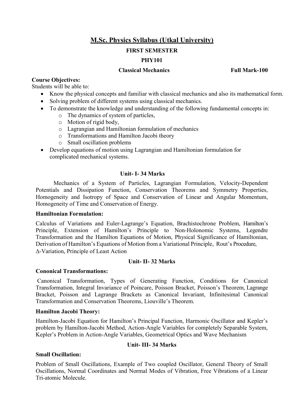# M.Sc. Physics Syllabus (Utkal University)

#### FIRST SEMESTER

#### PHY101

#### Classical Mechanics Full Mark-100

#### Course Objectives:

Students will be able to:

- Know the physical concepts and familiar with classical mechanics and also its mathematical form.
- Solving problem of different systems using classical mechanics.
- To demonstrate the knowledge and understanding of the following fundamental concepts in:
	- o The dynamics of system of particles,
	- o Motion of rigid body,
	- o Lagrangian and Hamiltonian formulation of mechanics
	- o Transformations and Hamilton Jacobi theory
	- o Small oscillation problems
- Develop equations of motion using Lagrangian and Hamiltonian formulation for complicated mechanical systems.

#### Unit- I- 34 Marks

Mechanics of a System of Particles, Lagrangian Formulation, Velocity-Dependent Potentials and Dissipation Function, Conservation Theorems and Symmetry Properties, Homogeneity and Isotropy of Space and Conservation of Linear and Angular Momentum, Homogeneity of Time and Conservation of Energy.

#### Hamiltonian Formulation:

Calculus of Variations and Euler-Lagrange's Equation, Brachistochrone Problem, Hamilton's Principle, Extension of Hamilton's Principle to Non-Holonomic Systems, Legendre Transformation and the Hamilton Equations of Motion, Physical Significance of Hamiltonian, Derivation of Hamilton's Equations of Motion from a Variational Principle, Rout's Procedure, -Variation, Principle of Least Action

#### Unit- II- 32 Marks

#### Cononical Transformations:

Canonical Transformation, Types of Generating Function, Conditions for Canonical Transformation, Integral Invariance of Poincare, Poisson Bracket, Poisson's Theorem, Lagrange Bracket, Poisson and Lagrange Brackets as Canonical Invariant, Infinitesimal Canonical Transformation and Conservation Theorems, Liouville's Theorem.

#### Hamilton Jacobi Theory:

Hamilton-Jacobi Equation for Hamilton's Principal Function, Harmonic Oscillator and Kepler's problem by Hamilton-Jacobi Method, Action-Angle Variables for completely Separable System, Kepler's Problem in Action-Angle Variables, Geometrical Optics and Wave Mechanism

#### Unit- III- 34 Marks

#### Small Oscillation:

Problem of Small Oscillations, Example of Two coupled Oscillator, General Theory of Small Oscillations, Normal Coordinates and Normal Modes of Vibration, Free Vibrations of a Linear Tri-atomic Molecule.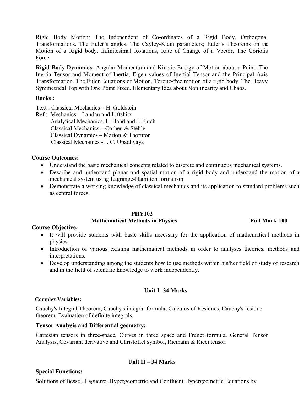Rigid Body Motion: The Independent of Co-ordinates of a Rigid Body, Orthogonal Transformations. The Euler's angles. The Cayley-Klein parameters; Euler's Theorems on the Motion of a Rigid body, Infinitesimal Rotations, Rate of Change of a Vector, The Coriolis Force.

Rigid Body Dynamics: Angular Momentum and Kinetic Energy of Motion about a Point. The Inertia Tensor and Moment of Inertia, Eigen values of Inertial Tensor and the Principal Axis Transformation. The Euler Equations of Motion, Torque-free motion of a rigid body. The Heavy Symmetrical Top with One Point Fixed. Elementary Idea about Nonlinearity and Chaos.

#### Books :

Text : Classical Mechanics – H. Goldstein

Ref : Mechanics – Landau and Liftshitz Analytical Mechanics, L. Hand and J. Finch Classical Mechanics – Corben & Stehle Classical Dynamics – Marion & Thornton Classical Mechanics - J. C. Upadhyaya

#### Course Outcomes:

- Understand the basic mechanical concepts related to discrete and continuous mechanical systems.
- Describe and understand planar and spatial motion of a rigid body and understand the motion of a mechanical system using Lagrange-Hamilton formalism.
- Demonstrate a working knowledge of classical mechanics and its application to standard problems such as central forces.

#### PHY102

#### Mathematical Methods in Physics Full Mark-100

#### Course Objective:

- It will provide students with basic skills necessary for the application of mathematical methods in physics.
- Introduction of various existing mathematical methods in order to analyses theories, methods and interpretations.
- Develop understanding among the students how to use methods within his/her field of study of research and in the field of scientific knowledge to work independently.

#### Unit-I- 34 Marks

#### Complex Variables:

Cauchy's Integral Theorem, Cauchy's integral formula, Calculus of Residues, Cauchy's residue theorem, Evaluation of definite integrals.

#### Tensor Analysis and Differential geometry:

Cartesian tensors in three-space, Curves in three space and Frenet formula, General Tensor Analysis, Covariant derivative and Christoffel symbol, Riemann & Ricci tensor.

#### Unit II – 34 Marks

#### Special Functions:

Solutions of Bessel, Laguerre, Hypergeometric and Confluent Hypergeometric Equations by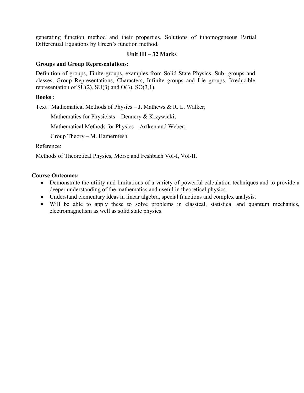generating function method and their properties. Solutions of inhomogeneous Partial Differential Equations by Green's function method.

#### Unit III – 32 Marks

#### Groups and Group Representations:

Definition of groups, Finite groups, examples from Solid State Physics, Sub- groups and classes, Group Representations, Characters, Infinite groups and Lie groups, Irreducible representation of  $SU(2)$ ,  $SU(3)$  and  $O(3)$ ,  $SO(3,1)$ .

#### Books :

Text : Mathematical Methods of Physics – J. Mathews & R. L. Walker;

Mathematics for Physicists – Dennery & Krzywicki;

Mathematical Methods for Physics – Arfken and Weber;

Group Theory – M. Hamermesh

Reference:

Methods of Theoretical Physics, Morse and Feshbach Vol-I, Vol-II.

#### Course Outcomes:

- Demonstrate the utility and limitations of a variety of powerful calculation techniques and to provide a deeper understanding of the mathematics and useful in theoretical physics.
- Understand elementary ideas in linear algebra, special functions and complex analysis.
- Will be able to apply these to solve problems in classical, statistical and quantum mechanics, electromagnetism as well as solid state physics.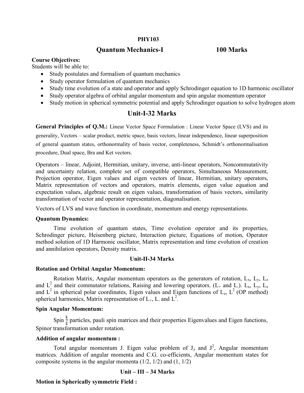#### PHY103

#### Quantum Quantum Mechanics-I 100

#### 100 Marks

#### Course Objectives:

Students will be able to:

- Study postulates and formalism of quantum mechanics
- Study operator formulation of quantum mechanics
- 
- Study operator algebra of orbital angular momentum and spin angular momentum operator
- Study time evolution of a state and operator and apply Schrodinger equation to 1D harmonic oscillator<br>• Study operator algebra of orbital angular momentum and spin angular momentum operator<br>• Study motion in spherical sy • Study motion in spherical symmetric potential and apply Schrodinger equation to solve hydrogen atom

#### Unit-I-32 Marks

General Principles of Q.M.: Linear Vector Space Formulation : Linear Vector Space (LVS) and its General Principles of Q.M.: Linear Vector Space Formulation : Linear Vector Space (LVS) and its generality, Vectors – scalar product, metric space, basis vectors, linear independence, linear superposition of general quantum states, orthonormality of basis vector, completeness, Schmidt's orthonormalisation procedure, Dual space, Bra and Ket vectors.

Operators – linear, Adjoint, Hermitian, unitary, inverse, anti-linear operators, Noncommutativity and uncertainty relation, complete set of compatible operators, Simultaneous Measurement, Projection operator, Eigen values and eigen vectors of linear, Hermitian, unitary operators, Matrix representation of vectors and operators, matrix elements, eigen value equation and expectation values, algebraic result on eigen values, transformation of basis vectors, similarity transformation of vector and operator representation, diagonalisation. exar, Adjoint, Hermitian, unitary, inverse, anti-linear operators, Noncommutativity<br>
v relation, complete set of compatible operators, Simultaneous Measurement,<br>
ator, Eigen values and eigen vectors of linear, Hermitian, u

Vectors of LVS and wave function in coordinate, momentum and energy representations.

#### Quantum Dynamics:

Time evolution of quantum states, Time evolution operator and its properties, Schrodinger picture, Heisenberg picture, Interaction picture, Equations of motion, Operator method solution of 1D Harmonic oscillator, Matrix representation and time evolution of creat and annihilation operators, Density transformation of vector and operator representation, diagonalisation.<br>
Vectors of LVS and wave function in coordinate, momentum and energy representation:<br> **Quantum Dynamics:**<br>
Time evolution of quantum states, Time evolu

#### Unit-II-34 Marks

#### Rotation and Orbital Angular Momentum:

Rotation Matrix, Angular momentum operators as the generators of rotation,  $L_x$ ,  $L_y$ ,  $L_z$ and  $L^2$  and their commutator relations, Raising and lowering operators. (L<sub>+</sub> and L). L<sub>x</sub>, L<sub>y</sub>, L<sub>z</sub> and  $L^2$  in spherical polar coordinates, Eigen values and Eigen functions of  $L_z$ ,  $L^2$  (OP method) spherical harmonics, Matrix representation of  $L_{+}$ , L. and  $L^{2}$ .

#### Spin Angular Momentum:

Spin  $\frac{1}{2}$  particles, pauli spin matrices and their properties Eigenvalues and Eigen functions, Spinor transformation under rotation.

#### Addition of angular momentum:

Total angular momentum J. Eigen value problem of  $J_z$  and  $J^2$ , Angular momentum<br>s. Addition of angular momenta and C.G. co-efficients, Angular momentum states for matrices. Addition of angular momenta and C.G. co-efficients, Angular momentum states for composite systems in the angular momenta  $(1/2, 1/2)$  and  $(1, 1/2)$ 

#### Unit – III – 34 Marks

#### Motion in Spherically symmetric Field :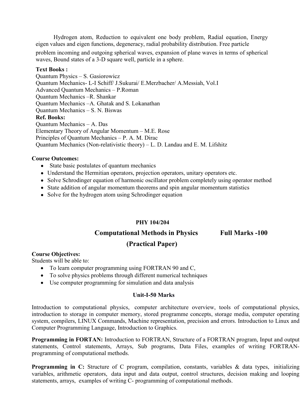Hydrogen atom, Reduction to equivalent one body problem, Radial equation, Energy eigen values and eigen functions, degeneracy, radial probability distribution. Free particle

problem incoming and outgoing spherical waves, expansion of plane waves in terms of spherical waves, Bound states of a 3-D square well, particle in a sphere.

#### Text Books :

Quantum Physics – S. Gasiorowicz Quantum Mechanics- L-I Schiff/ J.Sukurai/ E.Merzbacher/ A.Messiah, Vol.I Advanced Quantum Mechanics – P.Roman Quantum Mechanics –R. Shankar Quantum Mechanics –A. Ghatak and S. Lokanathan Quantum Mechanics – S. N. Biswas Ref. Books: Quantum Mechanics – A. Das Elementary Theory of Angular Momentum – M.E. Rose Principles of Quantum Mechanics – P. A. M. Dirac Quantum Mechanics (Non-relativistic theory) – L. D. Landau and E. M. Lifshitz

#### Course Outcomes:

- State basic postulates of quantum mechanics
- Understand the Hermitian operators, projection operators, unitary operators etc.
- Solve Schrodinger equation of harmonic oscillator problem completely using operator method
- State addition of angular momentum theorems and spin angular momentum statistics
- Solve for the hydrogen atom using Schrodinger equation

### PHY 104/204

Computational Methods in Physics Full Marks -100

# (Practical Paper)

#### Course Objectives:

Students will be able to:

- To learn computer programming using FORTRAN 90 and C,
- To solve physics problems through different numerical techniques
- Use computer programming for simulation and data analysis

#### Unit-I-50 Marks

Introduction to computational physics, computer architecture overview, tools of computational physics, introduction to storage in computer memory, stored programme concepts, storage media, computer operating system, compilers, LINUX Commands, Machine representation, precision and errors. Introduction to Linux and Computer Programming Language, Introduction to Graphics.

Programming in FORTAN: Introduction to FORTRAN, Structure of a FORTRAN program, Input and output statements, Control statements, Arrays, Sub programs, Data Files, examples of writing FORTRANprogramming of computational methods.

Programming in C: Structure of C program, compilation, constants, variables & data types, initializing variables, arithmetic operators, data input and data output, control structures, decision making and looping statements, arrays, examples of writing C- programming of computational methods.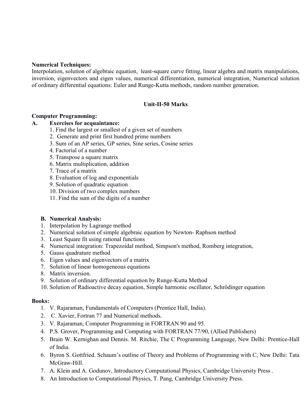#### Numerical Techniques:

Interpolation, solution of algebraic equation, least-square curve fitting, linear algebra and matrix manipulations, inversion, eigenvectors and eigen values, numerical differentiation, numerical integration, Numerical solution of ordinary differential equations: Euler and Runge-Kutta methods, random number generation.

#### Unit-II-50 Marks

#### Computer Programming:

#### A. Exercises for acquaintance:

- 1. Find the largest or smallest of a given set of numbers
- 2. Generate and print first hundred prime numbers
- 3. Sum of an AP series, GP series, Sine series, Cosine series
- 4. Factorial of a number
- 5. Transpose a square matrix
- 6. Matrix multiplication, addition
- 7. Trace of a matrix
- 8. Evaluation of log and exponentials
- 9. Solution of quadratic equation
- 10. Division of two complex numbers
- 11. Find the sum of the digits of a number

#### B. Numerical Analysis:

- 1. Interpolation by Lagrange method
- 2. Numerical solution of simple algebraic equation by Newton- Raphson method
- 3. Least Square fit using rational functions
- 4. Numerical integration: Trapezoidal method, Simpson's method, Romberg integration,
- 5. Gauss quadrature method
- 6. Eigen values and eigenvectors of a matrix
- 7. Solution of linear homogeneous equations
- 8. Matrix inversion.
- 9. Solution of ordinary differential equation by Runge-Kutta Method
- 10. Solution of Radioactive decay equation, Simple harmonic oscillator, Schrödinger equation

#### Books:

- 1. V. Rajaraman, Fundamentals of Computers (Prentice Hall, India).
- 2. C. Xavier, Fortran 77 and Numerical methods.
- 3. V. Rajaraman, Computer Programming in FORTRAN 90 and 95.
- 4. P.S. Grover, Programming and Computing with FORTRAN 77/90, (Allied Publishers)
- 5. Brain W. Kernighan and Dennis. M. Ritchie, The C Programming Language, New Delhi: Prentice-Hall of India.
- 6. Byron S. Gottfried. Schaum's outline of Theory and Problems of Programming with C, New Delhi: Tata McGraw-Hill.
- 7. A. Klein and A. Godunov, Introductory Computational Physics, Cambridge University Press .
- 8. An Introduction to Computational Physics, T. Pang, Cambridge University Press.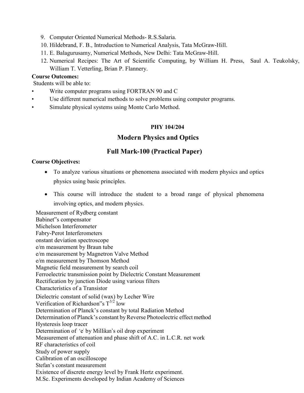- 9. Computer Oriented Numerical Methods- R.S.Salaria.
- 10. Hildebrand, F. B., Introduction to Numerical Analysis, Tata McGraw-Hill.
- 11. E. Balagurusamy, Numerical Methods, New Delhi: Tata McGraw-Hill.
- 12. Numerical Recipes: The Art of Scientific Computing, by William H. Press, Saul A. Teukolsky, William T. Vetterling, Brian P. Flannery.

#### Course Outcomes:

Students will be able to:

- Write computer programs using FORTRAN 90 and C
- Use different numerical methods to solve problems using computer programs.
- Simulate physical systems using Monte Carlo Method.

#### PHY 104/204

#### Modern Physics and Optics

#### Full Mark-100 (Practical Paper)

#### Course Objectives:

- To analyze various situations or phenomena associated with modern physics and optics physics using basic principles.
- This course will introduce the student to a broad range of physical phenomena involving optics, and modern physics.

Measurement of Rydberg constant Babinet"s compensator Michelson Interferometer Fabry-Perot Interferometers onstant deviation spectroscope e/m measurement by Braun tube e/m measurement by Magnetron Valve Method e/m measurement by Thomson Method Magnetic field measurement by search coil Ferroelectric transmission point by Dielectric Constant Measurement Rectification by junction Diode using various filters Characteristics of a Transistor Dielectric constant of solid (wax) by Lecher Wire Verification of Richardson"s  $T^{3/2}$  low Determination of Planck's constant by total Radiation Method Determination of Planck's constant by Reverse Photoelectric effect method Hysteresis loop tracer Determination of 'e' by Millikan's oil drop experiment Measurement of attenuation and phase shift of A.C. in L.C.R. net work RF characteristics of coil Study of power supply Calibration of an oscilloscope Stefan's constant measurement Existence of discrete energy level by Frank Hertz experiment. M.Sc. Experiments developed by Indian Academy of Sciences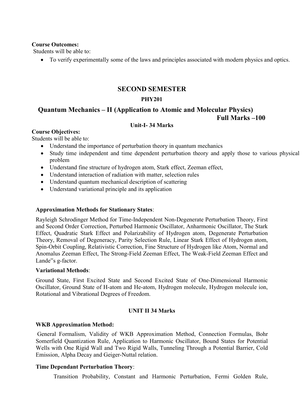#### Course Outcomes:

Students will be able to:

To verify experimentally some of the laws and principles associated with modern physics and optics.

### SECOND SEMESTER

# PHY201

# Quantum Mechanics – II (Application to Atomic and Molecular Physics)

# Full Marks –100

#### Unit-I- 34 Marks

#### Course Objectives:

Students will be able to:

- Understand the importance of perturbation theory in quantum mechanics
- Study time independent and time dependent perturbation theory and apply those to various physical problem
- Understand fine structure of hydrogen atom, Stark effect, Zeeman effect,
- Understand interaction of radiation with matter, selection rules
- Understand quantum mechanical description of scattering
- Understand variational principle and its application

#### Approximation Methods for Stationary States:

Rayleigh Schrodinger Method for Time-Independent Non-Degenerate Perturbation Theory, First and Second Order Correction, Perturbed Harmonic Oscillator, Anharmonic Oscillator, The Stark Effect, Quadratic Stark Effect and Polarizability of Hydrogen atom, Degenerate Perturbation Theory, Removal of Degeneracy, Parity Selection Rule, Linear Stark Effect of Hydrogen atom, Spin-Orbit Coupling, Relativistic Correction, Fine Structure of Hydrogen like Atom, Normal and Anomalus Zeeman Effect, The Strong-Field Zeeman Effect, The Weak-Field Zeeman Effect and Lande"s g-factor.

#### Variational Methods:

Ground State, First Excited State and Second Excited State of One-Dimensional Harmonic Oscillator, Ground State of H-atom and He-atom, Hydrogen molecule, Hydrogen molecule ion, Rotational and Vibrational Degrees of Freedom.

### UNIT II 34 Marks

### WKB Approximation Method:

General Formalism, Validity of WKB Approximation Method, Connection Formulas, Bohr Somerfield Quantization Rule, Application to Harmonic Oscillator, Bound States for Potential Wells with One Rigid Wall and Two Rigid Walls, Tunneling Through a Potential Barrier, Cold Emission, Alpha Decay and Geiger-Nuttal relation.

### Time Dependant Perturbation Theory:

Transition Probability, Constant and Harmonic Perturbation, Fermi Golden Rule,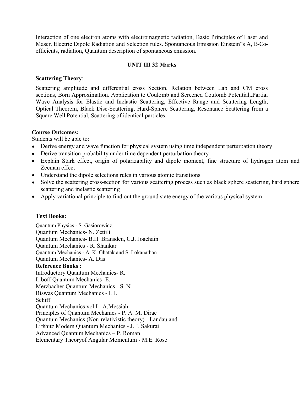Interaction of one electron atoms with electromagnetic radiation, Basic Principles of Laser and Maser. Electric Dipole Radiation and Selection rules. Spontaneous Emission Einstein"s A, B-Coefficients, radiation, Quantum description of spontaneous emission.

#### UNIT III 32 Marks

#### Scattering Theory:

Scattering amplitude and differential cross Section, Relation between Lab and CM cross sections, Born Approximation. Application to Coulomb and Screened Coulomb Potential,.Partial Wave Analysis for Elastic and Inelastic Scattering, Effective Range and Scattering Length, Optical Theorem, Black Disc-Scattering, Hard-Sphere Scattering, Resonance Scattering from a Square Well Potential, Scattering of identical particles.

#### Course Outcomes:

Students will be able to:

- Derive energy and wave function for physical system using time independent perturbation theory
- Derive transition probability under time dependent perturbation theory
- Explain Stark effect, origin of polarizability and dipole moment, fine structure of hydrogen atom and Zeeman effect
- Understand the dipole selections rules in various atomic transitions
- Solve the scattering cross-section for various scattering process such as black sphere scattering, hard sphere scattering and inelastic scattering
- Apply variational principle to find out the ground state energy of the various physical system

#### Text Books:

Quantum Physics - S. Gasiorowicz. Quantum Mechanics- N. Zettili Quantum Mechanics- B.H. Bransden, C.J. Joachain Quantum Mechanics - R. Shankar Quantum Mechanics - A. K. Ghatak and S. Lokanathan Quantum Mechanics- A. Das Reference Books : Introductory Quantum Mechanics- R. Liboff Quantum Mechanics- E. Merzbacher Quantum Mechanics - S. N. Biswas Quantum Mechanics - L.I. Schiff Quantum Mechanics vol I - A.Messiah Principles of Quantum Mechanics - P. A. M. Dirac Quantum Mechanics (Non-relativistic theory) - Landau and Lifshitz Modern Quantum Mechanics - J. J. Sakurai Advanced Quantum Mechanics – P. Roman Elementary Theoryof Angular Momentum - M.E. Rose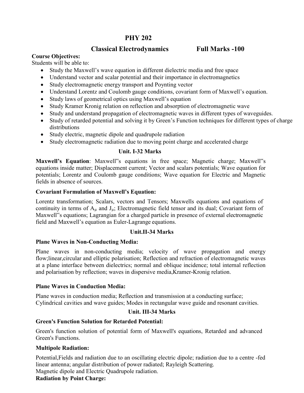# PHY 202

# Classical Electrodynamics Full Marks -100

#### Course Objectives:

Students will be able to:

- Study the Maxwell's wave equation in different dielectric media and free space
- Understand vector and scalar potential and their importance in electromagnetics
- Study electromagnetic energy transport and Poynting vector
- Understand Lorentz and Coulomb gauge conditions, covariant form of Maxwell's equation.
- Study laws of geometrical optics using Maxwell's equation
- Study Kramer Kronig relation on reflection and absorption of electromagnetic wave
- Study and understand propagation of electromagnetic waves in different types of waveguides.
- Study of retarded potential and solving it by Green's Function techniques for different types of charge distributions
- Study electric, magnetic dipole and quadrupole radiation
- Study electromagnetic radiation due to moving point charge and accelerated charge

#### Unit. I-32 Marks

Maxwell's Equation: Maxwell"s equations in free space; Magnetic charge; Maxwell"s equations inside matter; Displacement current; Vector and scalars potentials; Wave equation for potentials; Lorentz and Coulomb gauge conditions; Wave equation for Electric and Magnetic fields in absence of sources.

#### Covariant Formulation of Maxwell's Equation:

Lorentz transformation; Scalars, vectors and Tensors; Maxwells equations and equations of continuity in terms of  $A_\mu$  and  $J_\mu$ ; Electromagnetic field tensor and its dual; Covariant form of Maxwell"s equations; Lagrangian for a charged particle in presence of external electromagnetic field and Maxwell's equation as Euler-Lagrange equations.

#### Unit.II-34 Marks

#### Plane Waves in Non-Conducting Media:

Plane waves in non-conducting media; velocity of wave propagation and energy flow;linear,circular and elliptic polarisation; Reflection and refraction of electromagnetic waves at a plane interface between dielectrics; normal and oblique incidence; total internal reflection and polarisation by reflection; waves in dispersive media,Kramer-Kronig relation.

#### Plane Waves in Conduction Media:

Plane waves in conduction media; Reflection and transmission at a conducting surface; Cylindrical cavities and wave guides; Modes in rectangular wave guide and resonant cavities.

### Unit. III-34 Marks

#### Green's Function Solution for Retarded Potential:

Green's function solution of potential form of Maxwell's equations, Retarded and advanced Green's Functions.

#### Multipole Radiation:

Potential,Fields and radiation due to an oscillating electric dipole; radiation due to a centre -fed linear antenna; angular distribution of power radiated; Rayleigh Scattering.

Magnetic dipole and Electric Quadrupole radiation.

# Radiation by Point Charge: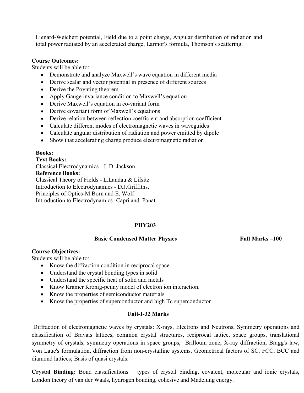Lienard-Weichert potential, Field due to a point charge, Angular distribution of radiation and total power radiated by an accelerated charge, Larmor's formula, Thomson's scattering.

#### Course Outcomes:

Students will be able to:

- Demonstrate and analyze Maxwell's wave equation in different media
- Derive scalar and vector potential in presence of different sources
- Derive the Poynting theorem
- Apply Gauge invariance condition to Maxwell's equation
- Derive Maxwell's equation in co-variant form
- Derive covariant form of Maxwell's equations
- Derive relation between reflection coefficient and absorption coefficient
- Calculate different modes of electromagnetic waves in waveguides
- Calculate angular distribution of radiation and power emitted by dipole
- Show that accelerating charge produce electromagnetic radiation

#### Books:

Text Books: Classical Electrodynamics - J. D. Jackson Reference Books: Classical Theory of Fields - L.Landau & Lifsitz Introduction to Electrodynamics - D.J.Griffiths. Principles of Optics-M.Born and E. Wolf Introduction to Electrodynamics- Capri and Panat

#### PHY203

#### Basic Condensed Matter Physics Full Marks –100

#### Course Objectives:

Students will be able to:

- Know the diffraction condition in reciprocal space
- Understand the crystal bonding types in solid
- Understand the specific heat of solid and metals
- Know Kramer Kronig-penny model of electron ion interaction.
- Know the properties of semiconductor materials
- Know the properties of superconductor and high Tc superconductor

#### Unit-I-32 Marks

 Diffraction of electromagnetic waves by crystals: X-rays, Electrons and Neutrons, Symmetry operations and classification of Bravais lattices, common crystal structures, reciprocal lattice, space groups, translational symmetry of crystals, symmetry operations in space groups, Brillouin zone, X-ray diffraction, Bragg's law, Von Laue's formulation, diffraction from non-crystalline systems. Geometrical factors of SC, FCC, BCC and diamond lattices; Basis of quasi crystals.

Crystal Binding: Bond classifications – types of crystal binding, covalent, molecular and ionic crystals, London theory of van der Waals, hydrogen bonding, cohesive and Madelung energy.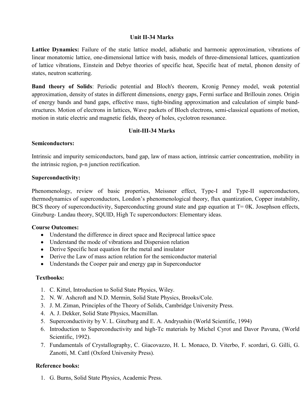#### Unit II-34 Marks

Lattice Dynamics: Failure of the static lattice model, adiabatic and harmonic approximation, vibrations of linear monatomic lattice, one-dimensional lattice with basis, models of three-dimensional lattices, quantization of lattice vibrations, Einstein and Debye theories of specific heat, Specific heat of metal, phonon density of states, neutron scattering.

Band theory of Solids: Periodic potential and Bloch's theorem, Kronig Penney model, weak potential approximation, density of states in different dimensions, energy gaps, Fermi surface and Brillouin zones. Origin of energy bands and band gaps, effective mass, tight-binding approximation and calculation of simple bandstructures. Motion of electrons in lattices, Wave packets of Bloch electrons, semi-classical equations of motion, motion in static electric and magnetic fields, theory of holes, cyclotron resonance.

#### Unit-III-34 Marks

#### Semiconductors:

Intrinsic and impurity semiconductors, band gap, law of mass action, intrinsic carrier concentration, mobility in the intrinsic region, p-n junction rectification.

#### Superconductivity:

Phenomenology, review of basic properties, Meissner effect, Type-I and Type-II superconductors, thermodynamics of superconductors, London's phenomenological theory, flux quantization, Copper instability, BCS theory of superconductivity, Superconducting ground state and gap equation at T= 0K. Josephson effects, Ginzburg- Landau theory, SQUID, High Tc superconductors: Elementary ideas.

#### Course Outcomes:

- Understand the difference in direct space and Reciprocal lattice space
- Understand the mode of vibrations and Dispersion relation
- Derive Specific heat equation for the metal and insulator
- Derive the Law of mass action relation for the semiconductor material
- Understands the Cooper pair and energy gap in Superconductor

#### Textbooks:

- 1. C. Kittel, Introduction to Solid State Physics, Wiley.
- 2. N. W. Ashcroft and N.D. Mermin, Solid State Physics, Brooks/Cole.
- 3. J. M. Ziman, Principles of the Theory of Solids, Cambridge University Press.
- 4. A. J. Dekker, Solid State Physics, Macmillan.
- 5. Superconductivity by V. L. Ginzburg and E. A. Andryushin (World Scientific, 1994)
- 6. Introduction to Superconductivity and high-Tc materials by Michel Cyrot and Davor Pavuna, (World Scientific, 1992).
- 7. Fundamentals of Crystallography, C. Giacovazzo, H. L. Monaco, D. Viterbo, F. scordari, G. Gilli, G. Zanotti, M. Cattl (Oxford University Press).

#### Reference books:

1. G. Burns, Solid State Physics, Academic Press.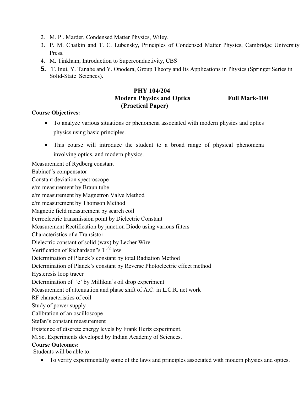- 2. M. P . Marder, Condensed Matter Physics, Wiley.
- 3. P. M. Chaikin and T. C. Lubensky, Principles of Condensed Matter Physics, Cambridge University Press.
- 4. M. Tinkham, Introduction to Superconductivity, CBS
- 5. T. Inui, Y. Tanabe and Y. Onodera, Group Theory and Its Applications in Physics (Springer Series in Solid-State Sciences).

#### PHY 104/204 **Modern Physics and Optics Full Mark-100** (Practical Paper)

#### Course Objectives:

- To analyze various situations or phenomena associated with modern physics and optics physics using basic principles.
- This course will introduce the student to a broad range of physical phenomena involving optics, and modern physics.

Measurement of Rydberg constant

Babinet"s compensator

Constant deviation spectroscope

e/m measurement by Braun tube

e/m measurement by Magnetron Valve Method

e/m measurement by Thomson Method

Magnetic field measurement by search coil

Ferroelectric transmission point by Dielectric Constant

Measurement Rectification by junction Diode using various filters

Characteristics of a Transistor

Dielectric constant of solid (wax) by Lecher Wire

Verification of Richardson"s  $T^{3/2}$  low

Determination of Planck's constant by total Radiation Method

Determination of Planck's constant by Reverse Photoelectric effect method

Hysteresis loop tracer

Determination of 'e' by Millikan's oil drop experiment

Measurement of attenuation and phase shift of A.C. in L.C.R. net work

RF characteristics of coil

Study of power supply

Calibration of an oscilloscope

Stefan's constant measurement

Existence of discrete energy levels by Frank Hertz experiment.

M.Sc. Experiments developed by Indian Academy of Sciences.

#### Course Outcomes:

Students will be able to:

To verify experimentally some of the laws and principles associated with modern physics and optics.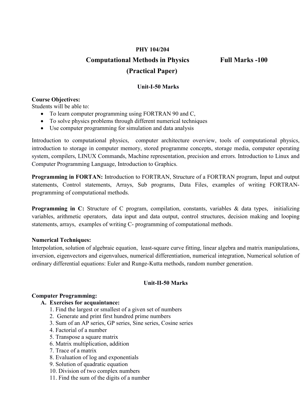# PHY 104/204 Computational Methods in Physics Full Marks -100 (Practical Paper)

#### Unit-I-50 Marks

#### Course Objectives:

Students will be able to:

- To learn computer programming using FORTRAN 90 and C,
- To solve physics problems through different numerical techniques
- Use computer programming for simulation and data analysis

Introduction to computational physics, computer architecture overview, tools of computational physics, introduction to storage in computer memory, stored programme concepts, storage media, computer operating system, compilers, LINUX Commands, Machine representation, precision and errors. Introduction to Linux and Computer Programming Language, Introduction to Graphics.

Programming in FORTAN: Introduction to FORTRAN, Structure of a FORTRAN program, Input and output statements, Control statements, Arrays, Sub programs, Data Files, examples of writing FORTRANprogramming of computational methods.

Programming in C: Structure of C program, compilation, constants, variables & data types, initializing variables, arithmetic operators, data input and data output, control structures, decision making and looping statements, arrays, examples of writing C- programming of computational methods.

#### Numerical Techniques:

Interpolation, solution of algebraic equation, least-square curve fitting, linear algebra and matrix manipulations, inversion, eigenvectors and eigenvalues, numerical differentiation, numerical integration, Numerical solution of ordinary differential equations: Euler and Runge-Kutta methods, random number generation.

#### Unit-II-50 Marks

#### Computer Programming:

#### A. Exercises for acquaintance:

- 1. Find the largest or smallest of a given set of numbers
- 2. Generate and print first hundred prime numbers
- 3. Sum of an AP series, GP series, Sine series, Cosine series
- 4. Factorial of a number
- 5. Transpose a square matrix
- 6. Matrix multiplication, addition
- 7. Trace of a matrix
- 8. Evaluation of log and exponentials
- 9. Solution of quadratic equation
- 10. Division of two complex numbers
- 11. Find the sum of the digits of a number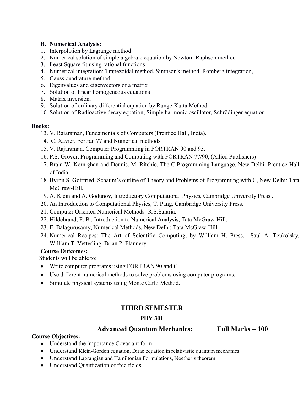#### B. Numerical Analysis:

- 1. Interpolation by Lagrange method
- 2. Numerical solution of simple algebraic equation by Newton- Raphson method
- 3. Least Square fit using rational functions
- 4. Numerical integration: Trapezoidal method, Simpson's method, Romberg integration,
- 5. Gauss quadrature method
- 6. Eigenvalues and eigenvectors of a matrix
- 7. Solution of linear homogeneous equations
- 8. Matrix inversion.
- 9. Solution of ordinary differential equation by Runge-Kutta Method
- 10. Solution of Radioactive decay equation, Simple harmonic oscillator, Schrödinger equation

#### Books:

- 13. V. Rajaraman, Fundamentals of Computers (Prentice Hall, India).
- 14. C. Xavier, Fortran 77 and Numerical methods.
- 15. V. Rajaraman, Computer Programming in FORTRAN 90 and 95.
- 16. P.S. Grover, Programming and Computing with FORTRAN 77/90, (Allied Publishers)
- 17. Brain W. Kernighan and Dennis. M. Ritchie, The C Programming Language, New Delhi: Prentice-Hall of India.
- 18. Byron S. Gottfried. Schaum's outline of Theory and Problems of Programming with C, New Delhi: Tata McGraw-Hill.
- 19. A. Klein and A. Godunov, Introductory Computational Physics, Cambridge University Press .
- 20. An Introduction to Computational Physics, T. Pang, Cambridge University Press.
- 21. Computer Oriented Numerical Methods- R.S.Salaria.
- 22. Hildebrand, F. B., Introduction to Numerical Analysis, Tata McGraw-Hill.
- 23. E. Balagurusamy, Numerical Methods, New Delhi: Tata McGraw-Hill.
- 24. Numerical Recipes: The Art of Scientific Computing, by William H. Press, Saul A. Teukolsky, William T. Vetterling, Brian P. Flannery.

#### Course Outcomes:

Students will be able to:

- Write computer programs using FORTRAN 90 and C
- Use different numerical methods to solve problems using computer programs.
- Simulate physical systems using Monte Carlo Method.

# THIRD SEMESTER

### PHY 301

### Advanced Quantum Mechanics: Full Marks – 100

#### Course Objectives:

- Understand the importance Covariant form
- Understand Klein-Gordon equation, Dirac equation in relativistic quantum mechanics
- Understand Lagrangian and Hamiltonian Formulations, Noether's theorem
- Understand Quantization of free fields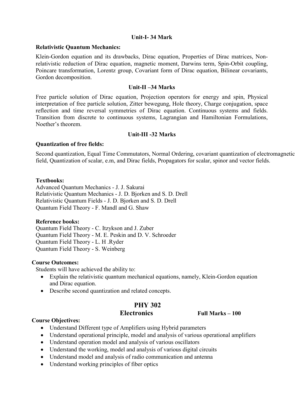#### Unit-I- 34 Mark

#### Relativistic Quantum Mechanics:

Klein-Gordon equation and its drawbacks, Dirac equation, Properties of Dirac matrices, Nonrelativistic reduction of Dirac equation, magnetic moment, Darwins term, Spin-Orbit coupling, Poincare transformation, Lorentz group, Covariant form of Dirac equation, Bilinear covariants, Gordon decomposition.

#### Unit-II –34 Marks

Free particle solution of Dirac equation, Projection operators for energy and spin, Physical interpretation of free particle solution, Zitter bewegung, Hole theory, Charge conjugation, space reflection and time reversal symmetries of Dirac equation. Continuous systems and fields. Transition from discrete to continuous systems, Lagrangian and Hamiltonian Formulations, Noether's theorem.

#### Unit-III -32 Marks

#### Quantization of free fields:

Second quantization, Equal Time Commutators, Normal Ordering, covariant quantization of electromagnetic field, Quantization of scalar, e.m, and Dirac fields, Propagators for scalar, spinor and vector fields.

#### Textbooks:

Advanced Quantum Mechanics - J. J. Sakurai Relativistic Quantum Mechanics - J. D. Bjorken and S. D. Drell Relativistic Quantum Fields - J. D. Bjorken and S. D. Drell Quantum Field Theory - F. Mandl and G. Shaw

#### Reference books:

Quantum Field Theory - C. Itzykson and J. Zuber Quantum Field Theory - M. E. Peskin and D. V. Schroeder Quantum Field Theory - L. H .Ryder Quantum Field Theory - S. Weinberg

#### Course Outcomes:

Students will have achieved the ability to:

- Explain the relativistic quantum mechanical equations, namely, Klein-Gordon equation and Dirac equation.
- Describe second quantization and related concepts.

# PHY 302

Electronics Full Marks – 100

#### Course Objectives:

- Understand Different type of Amplifiers using Hybrid parameters
- Understand operational principle, model and analysis of various operational amplifiers
- Understand operation model and analysis of various oscillators
- Understand the working, model and analysis of various digital circuits
- Understand model and analysis of radio communication and antenna
- Understand working principles of fiber optics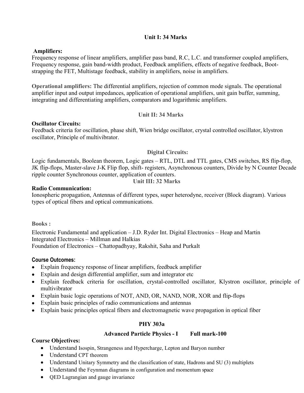#### Unit I: 34 Marks

#### Amplifiers:

Frequency response of linear amplifiers, amplifier pass band, R.C, L.C. and transformer coupled amplifiers, Frequency response, gain band-width product, Feedback amplifiers, effects of negative feedback, Bootstrapping the FET, Multistage feedback, stability in amplifiers, noise in amplifiers.

Operational amplifiers: The differential amplifiers, rejection of common mode signals. The operational amplifier input and output impedances, application of operational amplifiers, unit gain buffer, summing, integrating and differentiating amplifiers, comparators and logarithmic amplifiers.

#### Unit II: 34 Marks

#### Oscillator Circuits:

Feedback criteria for oscillation, phase shift, Wien bridge oscillator, crystal controlled oscillator, klystron oscillator, Principle of multivibrator.

#### Digital Circuits:

Logic fundamentals, Boolean theorem, Logic gates – RTL, DTL and TTL gates, CMS switches, RS flip-flop, JK flip-flops, Master-slave J-K Flip flop, shift- registers, Asynchronous counters, Divide by N Counter Decade ripple counter Synchronous counter, application of counters.

#### Unit III: 32 Marks

#### Radio Communication:

Ionospheric propagation, Antennas of different types, super heterodyne, receiver (Block diagram). Various types of optical fibers and optical communications.

Books :

Electronic Fundamental and application – J.D. Ryder Int. Digital Electronics – Heap and Martin Integrated Electronics – Millman and Halkias Foundation of Electronics – Chattopadhyay, Rakshit, Saha and Purkalt

#### Course Outcomes:

- Explain frequency response of linear amplifiers, feedback amplifier
- Explain and design differential amplifier, sum and integrator etc
- Explain feedback criteria for oscillation, crystal-controlled oscillator, Klystron oscillator, principle of multivibrator
- Explain basic logic operations of NOT, AND, OR, NAND, NOR, XOR and flip-flops
- Explain basic principles of radio communications and antennas
- Explain basic principles optical fibers and electromagnetic wave propagation in optical fiber

#### PHY 303a

#### Advanced Particle Physics - I Full mark-100

#### Course Objectives:

- Understand Isospin, Strangeness and Hypercharge, Lepton and Baryon number
- Understand CPT theorem
- Understand Unitary Symmetry and the classification of state, Hadrons and SU (3) multiplets
- Understand the Feynman diagrams in configuration and momentum space
- QED Lagrangian and gauge invariance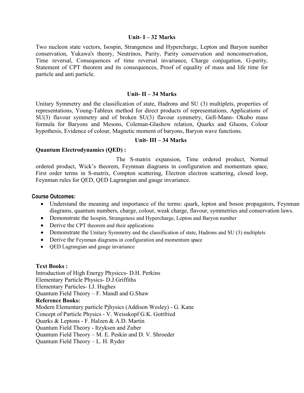#### Unit-  $I - 32$  Marks

Two nucleon state vectors, Isospin, Strangeness and Hypercharge, Lepton and Baryon number conservation, Yukawa's theory, Neutrinos, Parity, Parity conservation and nonconservation, Time reversal, Consequences of time reversal invariance, Charge conjugation, G-parity, Statement of CPT theorem and its consequences, Proof of equality of mass and life time for particle and anti particle.

#### Unit-  $II - 34$  Marks

Unitary Symmetry and the classification of state, Hadrons and SU (3) multiplets, properties of representations, Young-Tableux method for direct products of representations, Applications of SU(3) flavour symmetry and of broken SU(3) flavour symmetry, Gell-Mann- Okubo mass formula for Baryons and Mesons, Coleman-Glashow relation, Quarks and Gluons, Colour hypothesis, Evidence of colour, Magnetic moment of baryons, Baryon wave functions.

#### Unit- III – 34 Marks

#### Quantum Electrodynamics (QED) :

The S-matrix expansion, Time ordered product, Normal ordered product, Wick's theorem, Feynman diagrams in configuration and momentum space, First order terms in S-matrix, Compton scattering, Electron electron scattering, closed loop, Feynman rules for QED, QED Lagrangian and gauge invariance.

#### Course Outcomes:

- Understand the meaning and importance of the terms: quark, lepton and boson propagators, Feynman diagrams, quantum numbers, charge, colour, weak charge, flavour, symmetries and conservation laws.
- Demonstrate the Isospin, Strangeness and Hypercharge, Lepton and Baryon number
- Derive the CPT theorem and their applications
- Demonstrate the Unitary Symmetry and the classification of state, Hadrons and SU (3) multiplets
- Derive the Feynman diagrams in configuration and momentum space
- QED Lagrangian and gauge invariance

#### Text Books :

Introduction of High Energy Physiccs- D.H. Perkins Elementary Particle Physics- D.J.Griffiths Elementary Particles- I.J. Hughes Quantum Field Theory – F. Mandl and G.Shaw Reference Books: Modern Elementary particle Pjhysics (Addison Wesley) - G. Kane Concept of Particle Physics - V. Weisskopf G.K. Gottfried Quarks & Leptons - F. Halzen & A.D. Martin Quantum Field Theory - Itzyksen and Zuber Quantum Field Theory – M. E. Peskin and D. V. Shroeder Quantum Field Theory – L. H. Ryder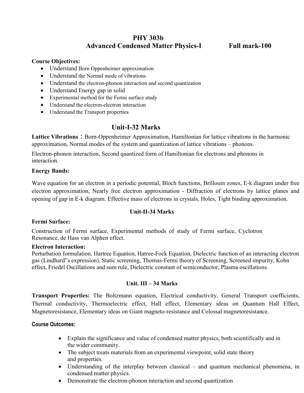# PHY 303b Advanced Condensed Matter Physics-I Full mark-100

#### Course Objectives:

- Understand Born Oppenheimer approximation
- Understand the Normal mode of vibrations
- Understand the electron-phonon interaction and second quantization
- Understand Energy gap in solid
- Experimental method for the Fermi surface study
- Understand the electron-electron interaction
- Understand the Transport properties

# Unit-I-32 Marks

Lattice Vibrations : Born-Oppenheimer Approximation, Hamiltonian for lattice vibrations in the harmonic approximation, Normal modes of the system and quantization of lattice vibrations – phonons.

Electron-phonon interaction, Second quantized form of Hamiltonian for electrons and phonons in interaction.

#### Energy Bands:

Wave equation for an electron in a periodic potential, Bloch functions, Brillouin zones, E-k diagram under free electron approximation, Nearly free electron approximation - Diffraction of electrons by lattice planes and opening of gap in E-k diagram. Effective mass of electrons in crystals, Holes, Tight binding approximation.

#### Unit-II-34 Marks

#### Fermi Surface:

Construction of Fermi surface, Experimental methods of study of Fermi surface, Cyclotron Resonance, de Hass van Alphen effect.

#### Electron Interaction:

Perturbation formulation, Hartree Equation, Hatree-Fock Equation, Dielectric function of an interacting electron gas (Lindhard"s expression), Static screening, Thomas-Fermi theory of Screening, Screened impurity, Kohn effect, Friedel Oscillations and sum rule, Dielectric constant of semiconductor, Plasma oscillations.

#### Unit. III – 34 Marks

Transport Properties: The Boltzmann equation, Electrical conductivity, General Transport coefficients, Thermal conductivity, Thermoelectric effect, Hall effect, Elementary ideas on Quantum Hall Effect, Magnetoresistance, Elementary ideas on Giant magneto-resistance and Colossal magnetoresistance.

#### Course Outcomes:

- Explain the significance and value of condensed matter physics, both scientifically and in the wider community.
- The subject treats materials from an experimental viewpoint, solid state theory and properties.
- Understanding of the interplay between classical and quantum mechanical phenomena, in condensed matter physics.
- Demonstrate the electron-phonon interaction and second quantization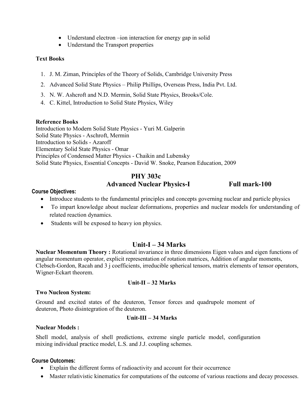- Understand electron –ion interaction for energy gap in solid
- Understand the Transport properties

#### Text Books

- 1. J. M. Ziman, Principles of the Theory of Solids, Cambridge University Press
- 2. Advanced Solid State Physics Philip Phillips, Overseas Press, India Pvt. Ltd.
- 3. N. W. Ashcroft and N.D. Mermin, Solid State Physics, Brooks/Cole.
- 4. C. Kittel, Introduction to Solid State Physics, Wiley

#### Reference Books

Introduction to Modern Solid State Physics - Yuri M. Galperin Solid State Physics - Aschroft, Mermin Introduction to Solids - Azaroff Elementary Solid State Physics - Omar Principles of Condensed Matter Physics - Chaikin and Lubensky Solid State Physics, Essential Concepts - David W. Snoke, Pearson Education, 2009

#### PHY 303c Advanced Nuclear Physics-I Full mark-100

#### Course Objectives:

- Introduce students to the fundamental principles and concepts governing nuclear and particle physics
- To impart knowledge about nuclear deformations, properties and nuclear models for understanding of related reaction dynamics.
- Students will be exposed to heavy ion physics.

# Unit-I – 34 Marks

Nuclear Momentum Theory : Rotational invariance in three dimensions Eigen values and eigen functions of angular momentum operator, explicit representation of rotation matrices, Addition of angular moments, Clebsch-Gordon, Racah and 3 j coefficients, irreducible spherical tensors, matrix elements of tensor operators, Wigner-Eckart theorem.

#### Unit-II – 32 Marks

#### Two Nucleon System:

Ground and excited states of the deuteron, Tensor forces and quadrupole moment of deuteron, Photo disintegration of the deuteron.

#### Unit-III – 34 Marks

#### Nuclear Models :

Shell model, analysis of shell predictions, extreme single particle model, configuration mixing individual practice model, L.S. and J.J. coupling schemes.

#### Course Outcomes:

- Explain the different forms of radioactivity and account for their occurrence
- Master relativistic kinematics for computations of the outcome of various reactions and decay processes.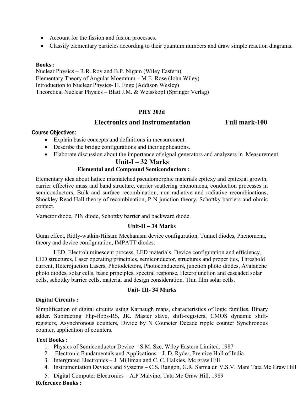- Account for the fission and fusion processes.
- Classify elementary particles according to their quantum numbers and draw simple reaction diagrams.

#### Books :

Nuclear Physics – R.R. Roy and B.P. Nigam (Wiley Eastern) Elementary Theory of Angular Moemtum – M.E. Rose (John Wiley) Introduction to Nuclear Physics- H. Enge (Addison Wesley) Theoretical Nuclear Physics – Blatt J.M. & Weisskopf (Springer Verlag)

#### PHY 303d

#### Electronics and Instrumentation Full mark-100

#### Course Objectives:

- Explain basic concepts and definitions in measurement.
- Describe the bridge configurations and their applications.
- Elaborate discussion about the importance of signal generators and analyzers in Measurement

### Unit-I – 32 Marks

#### Elemental and Compound Semiconductors :

Elementary idea about lattice mismatched pscudomorphic materials epitexy and epitexial growth, carrier effective mass and band structure, carrier scattering phonomena, conduction processes in semiconductors, Bulk and surface recombination, non-radiative and radiative recombinations, Shockley Read Hall theory of recombination, P-N junction theory, Schottky barriers and ohmic contect.

Varactor diode, PIN diode, Schottky barrier and backward diode.

#### Unit-II – 34 Marks

Gunn effect, Ridly-watkin-Hilsam Mechanism device configuration, Tunnel diodes, Phenomena, theory and device configuration, IMPATT diodes.

LED, Electroluminescent process, LED materials, Device configuration and efficiency, LED structures, Laser operating principles, semiconductor, structures and proper tics, Threshold current, Heterojuction Lasers, Photodetctors, Photoconductors, junction photo diodes, Avalanche photo diodes, solar cells, basic principles, spectral response, Heterojunction and cascaded solar cells, schottky barrier cells, material and design consideration. Thin film solar cells.

#### Unit- III- 34 Marks

#### Digital Circuits :

Simplification of digital circuits using Karnaugh maps, characteristics of logic families, Binary adder. Subtracting Flip-flops-RS, JK. Master slave, shift-registers, CMOS dynamic shiftregisters, Asynchronous counters, Divide by N Councter Decade ripple counter Synchronous counter, application of counters.

#### Text Books :

- 1. Physics of Semiconductor Device S.M. Sze, Wiley Eastern Limited, 1987
- 2. Electronic Fundamentals and Applications J. D. Ryder, Prentice Hall of India
- 3. Intergrated Electronics J. Milliman and C. C. Halkies, Mc graw Hill
- 4. Instrumentation Devices and Systems C.S. Rangon, G.R. Sarma dn V.S.V. Mani Tata Mc Graw Hill
- 5. Digital Computer Electronics A.P Malvino, Tata Mc Graw Hill, 1989

#### Reference Books :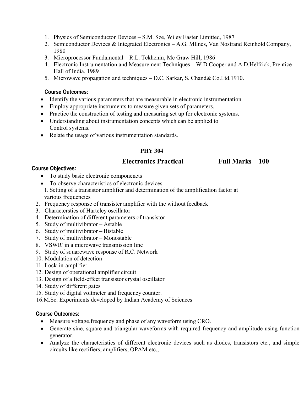- 1. Physics of Semiconductor Devices S.M. Sze, Wiley Easter Limitted, 1987
- 2. Semiconductor Devices & Integrated Electronics A.G. Mllnes, Van Nostrand Reinhold Company, 1980
- 3. Microprocessor Fundamental R.L. Tekhenin, Mc Graw Hill, 1986
- 4. Electronic Instrumentation and Measurement Techniques W D Cooper and A.D.Helfrick, Prentice Hall of India, 1989
- 5. Microwave propagation and techniques D.C. Sarkar, S. Chand& Co.Ltd.1910.

#### Course Outcomes:

- Identify the various parameters that are measurable in electronic instrumentation.
- Employ appropriate instruments to measure given sets of parameters.
- Practice the construction of testing and measuring set up for electronic systems.
- Understanding about instrumentation concepts which can be applied to Control systems.
- Relate the usage of various instrumentation standards.

### PHY 304

### Electronics Practical Full Marks – 100

#### Course Objectives:

- To study basic electronic componenets
- To observe characteristics of electronic devices
- 1. Setting of a transistor amplifier and determination of the amplification factor at various frequencies
- 2. Frequency response of transister amplifier with the without feedback
- 3. Characterstics of Harteley oscillator
- 4. Determination of different parameters of transistor
- 5. Study of multivibrator Astable
- 6. Study of multivibrator Bistable
- 7. Study of multivibrator Monostable
- 8. VSWR" in a microwave transmission line
- 9. Study of squarewave response of R.C. Network
- 10. Modulation of detection
- 11. Lock-in-amplifier
- 12. Design of operational amplifier circuit
- 13. Design of a field-effect transistor crystal oscillator
- 14. Study of different gates
- 15. Study of digital voltmeter and frequency counter.
- 16.M.Sc. Experiments developed by Indian Academy of Sciences

#### Course Outcomes:

- Measure voltage,frequency and phase of any waveform using CRO.
- Generate sine, square and triangular waveforms with required frequency and amplitude using function generator.
- Analyze the characteristics of different electronic devices such as diodes, transistors etc., and simple circuits like rectifiers, amplifiers, OPAM etc.,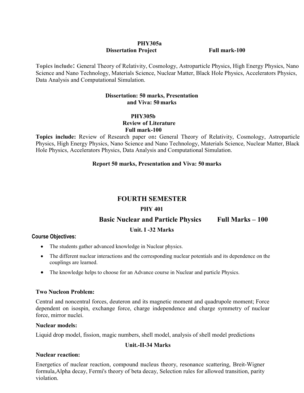#### PHY305a **Dissertation Project** Full mark-100

Topics include: General Theory of Relativity, Cosmology, Astroparticle Physics, High Energy Physics, Nano Science and Nano Technology, Materials Science, Nuclear Matter, Black Hole Physics, Accelerators Physics, Data Analysis and Computational Simulation.

#### Dissertation: 50 marks, Presentation and Viva: 50 marks

# PHY305b Review of Literature

Full mark-100

Topics include: Review of Research paper on: General Theory of Relativity, Cosmology, Astroparticle Physics, High Energy Physics, Nano Science and Nano Technology, Materials Science, Nuclear Matter, Black Hole Physics, Accelerators Physics, Data Analysis and Computational Simulation.

#### Report 50 marks, Presentation and Viva: 50 marks

# FOURTH SEMESTER

#### PHY 401

Basic Nuclear and Particle Physics Full Marks – 100

### Unit. I -32 Marks

#### Course Objectives:

- The students gather advanced knowledge in Nuclear physics.
- The different nuclear interactions and the corresponding nuclear potentials and its dependence on the couplings are learned.
- The knowledge helps to choose for an Advance course in Nuclear and particle Physics.

#### Two Nucleon Problem:

Central and noncentral forces, deuteron and its magnetic moment and quadrupole moment; Force dependent on isospin, exchange force, charge independence and charge symmetry of nuclear force, mirror nuclei.

#### Nuclear models:

Liquid drop model, fission, magic numbers, shell model, analysis of shell model predictions

#### Unit.-II-34 Marks

#### Nuclear reaction:

Energetics of nuclear reaction, compound nucleus theory, resonance scattering, Breit-Wigner formula,Alpha decay, Fermi's theory of beta decay, Selection rules for allowed transition, parity violation.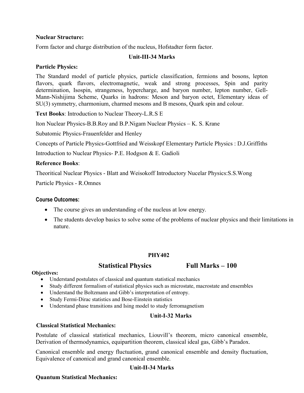#### Nuclear Structure:

Form factor and charge distribution of the nucleus, Hofstadter form factor.

#### Unit-III-34 Marks

#### Particle Physics:

The Standard model of particle physics, particle classification, fermions and bosons, lepton flavors, quark flavors, electromagnetic, weak and strong processes, Spin and parity determination, Isospin, strangeness, hypercharge, and baryon number, lepton number, Gell-Mann-Nishijima Scheme, Quarks in hadrons: Meson and baryon octet, Elementary ideas of SU(3) symmetry, charmonium, charmed mesons and B mesons, Quark spin and colour.

Text Books: Introduction to Nuclear Theory-L.R.S E

lton Nuclear Physics-B.B.Roy and B.P.Nigam Nuclear Physics – K. S. Krane

Subatomic Physics-Frauenfelder and Henley

Concepts of Particle Physics-Gottfried and Weisskopf Elementary Particle Physics : D.J.Griffiths

Introduction to Nuclear Physics- P.E. Hodgson & E. Gadioli

#### Reference Books:

Theoritical Nuclear Physics - Blatt and Weisokoff Introductory Nucelar Physics:S.S.Wong

Particle Physics - R.Omnes

#### Course Outcomes:

- The course gives an understanding of the nucleus at low energy.
- The students develop basics to solve some of the problems of nuclear physics and their limitations in nature.

#### PHY402

#### Statistical Physics Full Marks – 100

#### Objectives:

- Understand postulates of classical and quantum statistical mechanics
- Study different formalism of statistical physics such as microstate, macrostate and ensembles
- Understand the Boltzmann and Gibb's interpretation of entropy.
- Study Fermi-Dirac statistics and Bose-Einstein statistics
- Understand phase transitions and Ising model to study ferromagnetism

#### Unit-I-32 Marks

#### Classical Statistical Mechanics:

Postulate of classical statistical mechanics, Liouvill's theorem, micro canonical ensemble, Derivation of thermodynamics, equipartition theorem, classical ideal gas, Gibb's Paradox.

Canonical ensemble and energy fluctuation, grand canonical ensemble and density fluctuation, Equivalence of canonical and grand canonical ensemble.

#### Unit-II-34 Marks

#### Quantum Statistical Mechanics: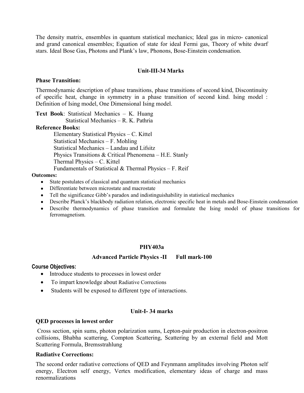The density matrix, ensembles in quantum statistical mechanics; Ideal gas in micro- canonical and grand canonical ensembles; Equation of state for ideal Fermi gas, Theory of white dwarf stars. Ideal Bose Gas, Photons and Plank's law, Phonons, Bose-Einstein condensation.

#### Unit-III-34 Marks

#### Phase Transition:

Thermodynamic description of phase transitions, phase transitions of second kind, Discontinuity of specific heat, change in symmetry in a phase transition of second kind. Ising model : Definition of Ising model, One Dimensional Ising model.

Text Book: Statistical Mechanics – K. Huang Statistical Mechanics – R. K. Pathria

#### Reference Books:

Elementary Statistical Physics – C. Kittel Statistical Mechanics – F. Mohling Statistical Mechanics – Landau and Lifsitz Physics Transitions & Critical Phenomena – H.E. Stanly Thermal Physics – C. Kittel Fundamentals of Statistical & Thermal Physics – F. Reif

#### Outcomes:

- State postulates of classical and quantum statistical mechanics
- Differentiate between microstate and macrostate
- Tell the significance Gibb's paradox and indistinguishability in statistical mechanics
- Describe Planck's blackbody radiation relation, electronic specific heat in metals and Bose-Einstein condensation
- Describe thermodynamics of phase transition and formulate the Ising model of phase transitions for ferromagnetism.

#### PHY403a

#### Advanced Particle Physics -II Full mark-100

#### Course Objectives:

- Introduce students to processes in lowest order
- To impart knowledge about Radiative Corrections
- Students will be exposed to different type of interactions.

#### Unit-I- 34 marks

#### QED processes in lowest order

Cross section, spin sums, photon polarization sums, Lepton-pair production in electron-positron collisions, Bhabha scattering, Compton Scattering, Scattering by an external field and Mott Scattering Formula, Bremsstrahlung

#### Radiative Corrections:

The second order radiative corrections of QED and Feynmann amplitudes involving Photon self energy, Electron self energy, Vertex modification, elementary ideas of charge and mass renormalizations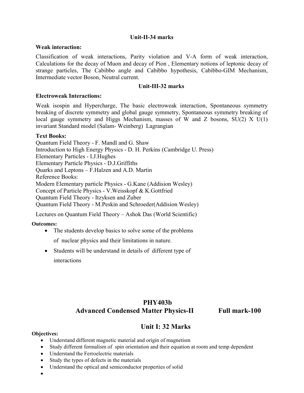#### Unit-II-34 marks

#### Weak interaction:

Classification of weak interactions, Parity violation and V-A form of weak interaction, Calculations for the decay of Muon and decay of Pion , Elementary notions of leptonic decay of strange particles, The Cabibbo angle and Cabibbo hypothesis, Cabibbo-GIM Mechanism, Intermediate vector Boson, Neutral current.

#### Unit-III-32 marks

#### Electroweak Interactions:

Weak isospin and Hypercharge, The basic electroweak interaction, Spontaneous symmetry breaking of discrete symmetry and global gauge symmetry, Spontaneous symmetry breaking of local gauge symmetry and Higgs Mechanism, masses of W and Z bosons, SU(2) X U(1) invariant Standard model (Salam- Weinberg) Lagrangian

#### Text Books:

Quantum Field Theory - F. Mandl and G. Shaw Introduction to High Energy Physics - D. H. Perkins (Cambridge U. Press) Elementary Particles - I.J.Hughes Elementary Particle Physics - D.J.Griffiths Quarks and Leptons – F.Halzen and A.D. Martin Reference Books: Modern Elementary particle Physics - G.Kane (Addision Wesley) Concept of Particle Physics - V.Weisskopf & K.Gottfried Quantum Field Theory - Itzyksen and Zuber Quantum Field Theory - M.Peskin and Schroeder(Addision Wesley)

Lectures on Quantum Field Theory – Ashok Das (World Scientific)

#### Outcomes:

• The students develop basics to solve some of the problems

of nuclear physics and their limitations in nature.

 Students will be understand in details of different type of interactions

# PHY403b Advanced Condensed Matter Physics-II Full mark-100

# Unit I: 32 Marks

#### Objectives:

- Understand different magnetic material and origin of magnetism
- Study different formalism of spin orientation and their equation at room and temp dependent
- Understand the Ferroelectric materials
- Study the types of defects in the materials
- Understand the optical and semiconductor properties of solid

 $\bullet$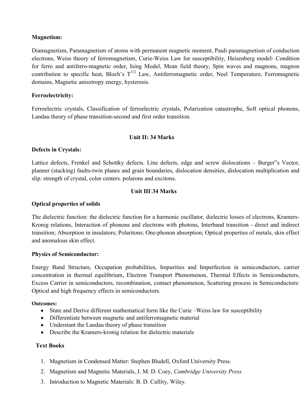#### Magnetism:

Diamagnetism, Paramagnetism of atoms with permanent magnetic moment, Pauli paramagnetism of conduction electrons, Weiss theory of ferromagnetism, Curie-Weiss Law for susceptibility, Heisenberg model- Condition for ferro and antiferro-magnetic order, Ising Model, Mean field theory, Spin waves and magnons, magnon contribution to specific heat, Bloch's  $T^{3/2}$  Law, Antiferromagnetic order, Neel Temperature, Ferromagnetic domains, Magnetic anisotropy energy, hysteresis.

#### Ferroelectricity:

Ferroelectric crystals, Classification of ferroelectric crystals, Polarization catastrophe, Soft optical phonons, Landau theory of phase transition-second and first order transition.

#### Unit II: 34 Marks

#### Defects in Crystals:

Lattice defects, Frenkel and Schottky defects. Line defects, edge and screw dislocations – Burger"s Vector, planner (stacking) faults-twin planes and grain boundaries, dislocation densities, dislocation multiplication and slip. strength of crystal, color centers. polarons and excitons.

#### Unit III:34 Marks

#### Optical properties of solids

The dielectric function: the dielectric function for a harmonic oscillator, dielectric losses of electrons, Kramers-Kronig relations, Interaction of phonons and electrons with photons, Interband transition - direct and indirect transition; Absorption in insulators; Polaritons; One-phonon absorption; Optical properties of metals, skin effect and anomalous skin effect.

#### Physics of Semiconductor:

Energy Band Structure, Occupation probabilities, Impurities and Imperfection in semiconductors, carrier concentration in thermal equilibrium, Electron Transport Phenomenon, Thermal Effects in Semiconductors, Excess Carrier in semiconductors, recombination, contact phenomenon, Scattering process in Semiconductors: Optical and high frequency effects in semiconductors.

#### Outcomes:

- State and Derive different mathematical form like the Curie –Weiss law for susceptibility
- Differentiate between magnetic and antiferromagnetic material
- Understant the Landau theory of phase transition
- Describe the Kramers-kronig relation for dielectric materials

#### Text Books

- 1. Magnetism in Condensed Matter: Stephen Bludell, Oxford University Press.
- 2. Magnetism and Magnetic Materials, J. M. D. Coey, Cambridge University Press.
- 3. Introduction to Magnetic Materials: B. D. Cullity, Wiley.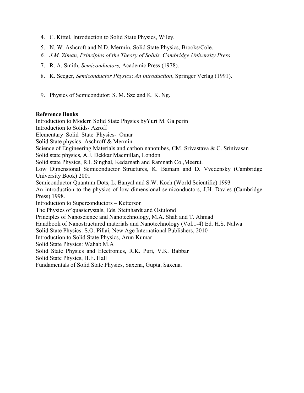- 4. C. Kittel, Introduction to Solid State Physics, Wiley.
- 5. N. W. Ashcroft and N.D. Mermin, Solid State Physics, Brooks/Cole.
- 6. J.M. Ziman, Principles of the Theory of Solids, Cambridge University Press
- 7. R. A. Smith, Semiconductors, Academic Press (1978).
- 8. K. Seeger, Semiconductor Physics: An introduction, Springer Verlag (1991).
- 9. Physics of Semicondutor: S. M. Sze and K. K. Ng.

#### Reference Books

Introduction to Modern Solid State Physics byYuri M. Galperin Introduction to Solids- Azroff Elementary Solid State Physics- Omar Solid State physics- Aschroff & Mermin Science of Engineering Materials and carbon nanotubes, CM. Srivastava & C. Srinivasan Solid state physics, A.J. Dekkar Macmillan, London Solid state Physics, R.L.Singhal, Kedarnath and Ramnath Co.,Meerut. Low Dimensional Semiconductor Structures, K. Bamam and D. Vvedensky (Cambridge University Book) 2001 Semiconductor Quantum Dots, L. Banyal and S.W. Koch (World Scientific) 1993 An introduction to the physics of low dimensional semiconductors, J.H. Davies (Cambridge Press) 1998. Introduction to Superconductors – Ketterson The Physics of quasicrystals, Eds. Steinhardt and Ostulond Principles of Nanoscience and Nanotechnology, M.A. Shah and T. Ahmad Handbook of Nanostructured materials and Nanotechnology (Vol.1-4) Ed. H.S. Nalwa Solid State Physics: S.O. Pillai, New Age International Publishers, 2010 Introduction to Solid State Physics, Arun Kumar Solid State Physics: Wahab M.A Solid State Physics and Electronics, R.K. Puri, V.K. Babbar Solid State Physics, H.E. Hall Fundamentals of Solid State Physics, Saxena, Gupta, Saxena.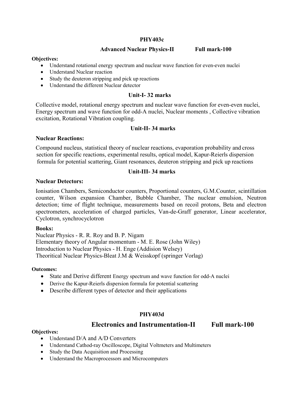#### PHY403c

#### Advanced Nuclear Physics-II Full mark-100

#### Objectives:

- Understand rotational energy spectrum and nuclear wave function for even-even nuclei
- Understand Nuclear reaction
- Study the deuteron stripping and pick up reactions
- Understand the different Nuclear detector

#### Unit-I- 32 marks

Collective model, rotational energy spectrum and nuclear wave function for even-even nuclei, Energy spectrum and wave function for odd-A nuclei, Nuclear moments , Collective vibration excitation, Rotational Vibration coupling.

#### Unit-II- 34 marks

#### Nuclear Reactions:

Compound nucleus, statistical theory of nuclear reactions, evaporation probability and cross section for specific reactions, experimental results, optical model, Kapur-Reierls dispersion formula for potential scattering, Giant resonances, deuteron stripping and pick up reactions

#### Unit-III- 34 marks

#### Nuclear Detectors:

Ionisation Chambers, Semiconductor counters, Proportional counters, G.M.Counter, scintillation counter, Wilson expansion Chamber, Bubble Chamber, The nuclear emulsion, Neutron detection; time of flight technique, measurements based on recoil protons, Beta and electron spectrometers, acceleration of charged particles, Van-de-Graff generator, Linear accelerator, Cyclotron, synchrocyclotron

#### Books:

Nuclear Physics - R. R. Roy and B. P. Nigam Elementary theory of Angular momentum - M. E. Rose (John Wiley) Introduction to Nuclear Physics - H. Enge (Addision Welsey) Theoritical Nuclear Physics-Bleat J.M & Weisskopf (springer Vorlag)

#### Outcomes:

- State and Derive different Energy spectrum and wave function for odd-A nuclei
- Derive the Kapur-Reierls dispersion formula for potential scattering
- Describe different types of detector and their applications

#### PHY403d

#### Electronics and Instrumentation-II Full mark-100

#### Objectives:

- Understand D/A and A/D Converters
- Understand Cathod-ray Oscilloscope, Digital Voltmeters and Multimeters
- Study the Data Acquisition and Processing
- Understand the Macroprocessors and Microcomputers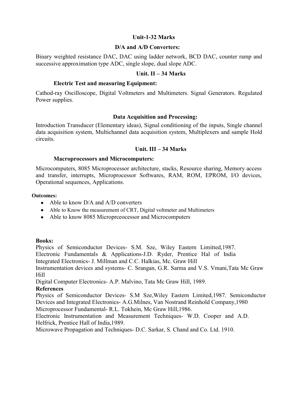#### Unit-1-32 Marks

#### D/A and A/D Converters:

Binary weighted resistance DAC, DAC using ladder network, BCD DAC, counter ramp and successive approximation type ADC, single slope, dual slope ADC.

#### Unit. II – 34 Marks

#### Electric Test and measuring Equipment:

Cathod-ray Oscilloscope, Digital Voltmeters and Multimeters. Signal Generators. Regulated Power supplies.

#### Data Acquisition and Processing:

Introduction Transducer (Elementary ideas), Signal conditioning of the inputs, Single channel data acquisition system, Multichannel data acquisition system, Multiplexers and sample Hold circuits.

#### Unit. III – 34 Marks

#### Macroprocessors and Microcomputers:

Microcomputers, 8085 Microprocessor architecture, stacks, Resource sharing, Memory access and transfer, interrupts, Microprocessor Softwares, RAM, ROM, EPROM, I/O devices, Operational sequences, Applications.

#### Outcomes:

- Able to know D/A and A/D converters
- Able to Know the measurement of CRT, Digital voltmeter and Multimeters
- Able to know 8085 Micropreeoeessor and Microcomputers

#### Books:

Physics of Semiconductor Devices- S.M. Sze, Wiley Eastern Limitted,1987.

Electronic Fundamentals & Applications-J.D. Ryder, Prentice Hal of India

Integrated Electronics- J. Millman and C.C. Halkias, Mc. Graw Hill

Instrumentation devices and systems- C. Srangan, G.R. Sarma and V.S. Vmani,Tata Mc Graw Hill

Digital Computer Electronics- A.P. Malvino, Tata Mc Graw Hill, 1989.

#### References

Physics of Semiconductor Devices- S.M Sze,Wiley Eastern Limited,1987. Semiconductor Devices and Integrated Electronics- A.G.Milnes, Van Nostrand Reinhold Company,1980 Microprocessor Fundamental- R.L. Tokhein, Mc Graw Hill,1986.

Electronic Instrumentation and Measurement Techniques- W.D. Cooper and A.D. Helfrick, Prentice Hall of India,1989.

Microwave Propagation and Techniques- D.C. Sarkar, S. Chand and Co. Ltd. 1910.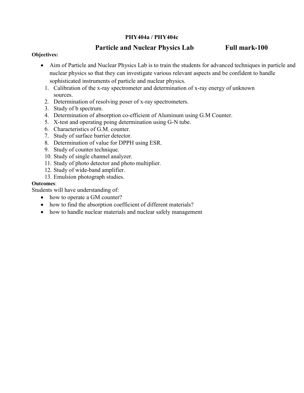#### PHY404a / PHY404c

# Particle and Nuclear Physics Lab Full mark-100

#### Objectives:

- Aim of Particle and Nuclear Physics Lab is to train the students for advanced techniques in particle and nuclear physics so that they can investigate various relevant aspects and be confident to handle sophisticated instruments of particle and nuclear physics.
	- 1. Calibration of the x-ray spectrometer and determination of x-ray energy of unknown sources.
	- 2. Determination of resolving poser of x-ray spectrometers.
	- 3. Study of b spectrum.
	- 4. Determination of absorption co-efficient of Aluminum using G.M Counter.
	- 5. X-test and operating poing determination using G-N tube.
	- 6. Characteristics of G.M. counter.
	- 7. Study of surface barrier detector.
	- 8. Determination of value for DPPH using ESR.
	- 9. Study of counter technique.
	- 10. Study of single channel analyzer.
	- 11. Study of photo detector and photo multiplier.
	- 12. Study of wide-band amplifier.
	- 13. Emulsion photograph studies.

#### Outcomes:

Students will have understanding of:

- how to operate a GM counter?
- how to find the absorption coefficient of different materials?
- how to handle nuclear materials and nuclear safely management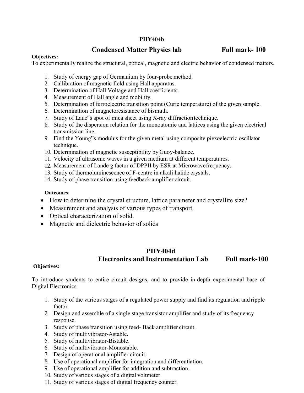#### PHY404b

### Condensed Matter Physics lab Full mark- 100

#### Objectives:

To experimentally realize the structural, optical, magnetic and electric behavior of condensed matters.

- 1. Study of energy gap of Germanium by four-probe method.
- 2. Callibration of magnetic field using Hall apparatus.
- 3. Determination of Hall Voltage and Hall coefficients.
- 4. Measurement of Hall angle and mobility.
- 5. Determination of ferroelectric transition point (Curie temperature) of the given sample.
- 6. Determination of magnetoresistance of bismuth.
- 7. Study of Laue"s spot of mica sheet using X-ray diffraction technique.
- 8. Study of the dispersion relation for the monoatomic and lattices using the given electrical transmission line.
- 9. Find the Young"s modulus for the given metal using composite piezoelectric oscillator technique.
- 10. Determination of magnetic susceptibility by Guoy-balance.
- 11. Velocity of ultrasonic waves in a given medium at different temperatures.
- 12. Measurement of Lande g factor of DPPII by ESR at Microwave frequency.
- 13. Study of thermoluminescence of F-centre in alkali halide crystals.
- 14. Study of phase transition using feedback amplifier circuit.

#### Outcomes:

- How to determine the crystal structure, lattice parameter and crystallite size?
- Measurement and analysis of various types of transport.
- Optical characterization of solid.
- Magnetic and dielectric behavior of solids

# PHY404d Electronics and Instrumentation Lab Full mark-100

#### Objectives:

To introduce students to entire circuit designs, and to provide in-depth experimental base of Digital Electronics.

- 1. Study of the various stages of a regulated power supply and find its regulation and ripple factor.
- 2. Design and assemble of a single stage transistor amplifier and study of its frequency response.
- 3. Study of phase transition using feed- Back amplifier circuit.
- 4. Study of multivibrator-Astable.
- 5. Study of multivibrator-Bistable.
- 6. Study of multivibrator-Monostable.
- 7. Design of operational amplifier circuit.
- 8. Use of operational amplifier for integration and differentiation.
- 9. Use of operational amplifier for addition and subtraction.
- 10. Study of various stages of a digital voltmeter.
- 11. Study of various stages of digital frequency counter.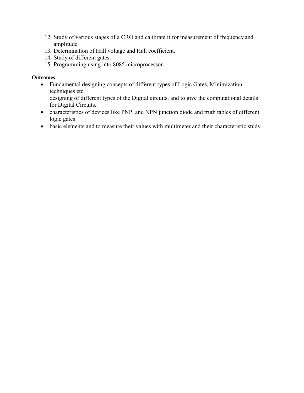- 12. Study of various stages of a CRO and calibrate it for measurement of frequency and amplitude.
- 13. Determination of Hall voltage and Hall coefficient.
- 14. Study of different gates.
- 15. Programming using into 8085 microprocessor.

#### Outcomes:

 Fundamental designing concepts of different types of Logic Gates, Minimization techniques etc.

designing of different types of the Digital circuits, and to give the computational details for Digital Circuits.

- characteristics of devices like PNP, and NPN junction diode and truth tables of different logic gates.
- basic elements and to measure their values with multimeter and their characteristic study.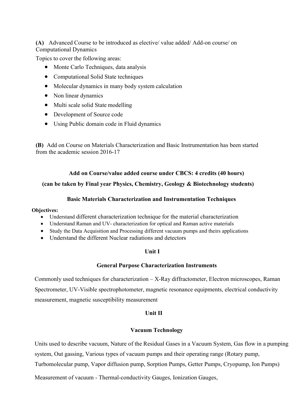(A) Advanced Course to be introduced as elective/ value added/ Add-on course/ on Computational Dynamics

Topics to cover the following areas:

- Monte Carlo Techniques, data analysis
- Computational Solid State techniques
- Molecular dynamics in many body system calculation
- Non linear dynamics
- Multi scale solid State modelling
- Development of Source code
- Using Public domain code in Fluid dynamics

(B) Add on Course on Materials Characterization and Basic Instrumentation has been started from the academic session 2016-17

#### Add on Course/value added course under CBCS: 4 credits (40 hours)

#### (can be taken by Final year Physics, Chemistry, Geology & Biotechnology students)

#### Basic Materials Characterization and Instrumentation Techniques

#### Objectives:

- Understand different characterization technique for the material characterization
- Understand Raman and UV- characterization for optical and Raman active materials
- Study the Data Acquisition and Processing different vacuum pumps and theirs applications
- Understand the different Nuclear radiations and detectors

#### Unit I

#### General Purpose Characterization Instruments

Commonly used techniques for characterization – X-Ray diffractometer, Electron microscopes, Raman Spectrometer, UV-Visible spectrophotometer, magnetic resonance equipments, electrical conductivity measurement, magnetic susceptibility measurement

#### Unit II

#### Vacuum Technology

Units used to describe vacuum, Nature of the Residual Gases in a Vacuum System, Gas flow in a pumping system, Out gassing, Various types of vacuum pumps and their operating range (Rotary pump, Turbomolecular pump, Vapor diffusion pump, Sorption Pumps, Getter Pumps, Cryopump, Ion Pumps)

Measurement of vacuum - Thermal-conductivity Gauges, Ionization Gauges,